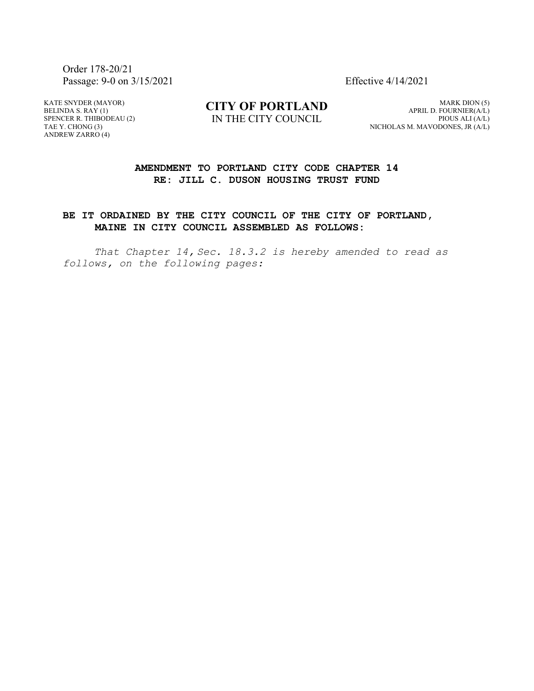Order 178-20/21 Passage: 9-0 on 3/15/2021 Effective 4/14/2021

KATE SNYDER (MAYOR) BELINDA S. RAY (1) SPENCER R. THIBODEAU (2) TAE Y. CHONG (3) ANDREW ZARRO (4)

**CITY OF PORTLAND** IN THE CITY COUNCIL

MARK DION (5) APRIL D. FOURNIER(A/L) PIOUS ALI (A/L) NICHOLAS M. MAVODONES, JR (A/L)

# **AMENDMENT TO PORTLAND CITY CODE CHAPTER 14 RE: JILL C. DUSON HOUSING TRUST FUND**

# **BE IT ORDAINED BY THE CITY COUNCIL OF THE CITY OF PORTLAND, MAINE IN CITY COUNCIL ASSEMBLED AS FOLLOWS:**

*That Chapter 14, Sec. 18.3.2 is hereby amended to read as follows, on the following pages:*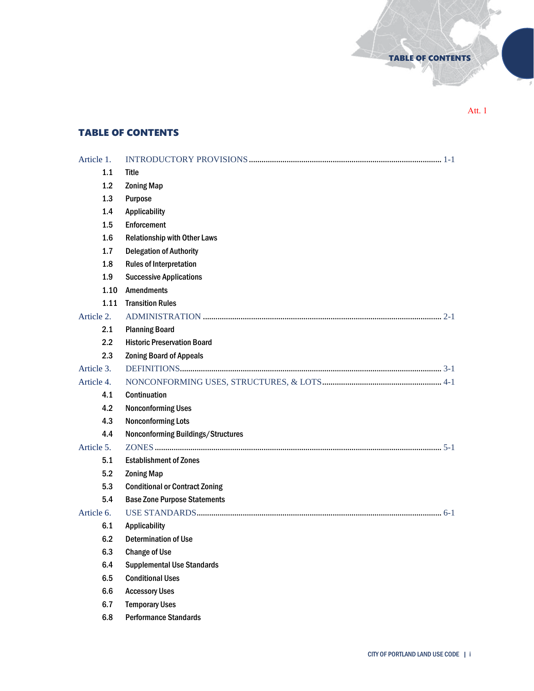Att. 1

×

TABLE OF CONTENTS

# TABLE OF CONTENTS

| Article 1. |                                       |
|------------|---------------------------------------|
| 1.1        | <b>Title</b>                          |
| 1.2        | <b>Zoning Map</b>                     |
| 1.3        | Purpose                               |
| 1.4        | <b>Applicability</b>                  |
| 1.5        | Enforcement                           |
| 1.6        | <b>Relationship with Other Laws</b>   |
| 1.7        | <b>Delegation of Authority</b>        |
| 1.8        | <b>Rules of Interpretation</b>        |
| 1.9        | <b>Successive Applications</b>        |
| 1.10       | <b>Amendments</b>                     |
| 1.11       | <b>Transition Rules</b>               |
| Article 2. |                                       |
| 2.1        | <b>Planning Board</b>                 |
| $2.2\,$    | <b>Historic Preservation Board</b>    |
| 2.3        | <b>Zoning Board of Appeals</b>        |
| Article 3. |                                       |
| Article 4. |                                       |
| 4.1        | <b>Continuation</b>                   |
| 4.2        | <b>Nonconforming Uses</b>             |
| 4.3        | <b>Nonconforming Lots</b>             |
| 4.4        | Nonconforming Buildings/Structures    |
| Article 5. |                                       |
| 5.1        | <b>Establishment of Zones</b>         |
| 5.2        | <b>Zoning Map</b>                     |
| 5.3        | <b>Conditional or Contract Zoning</b> |
| 5.4        | <b>Base Zone Purpose Statements</b>   |
| Article 6. |                                       |
| 6.1        | <b>Applicability</b>                  |
| 6.2        | <b>Determination of Use</b>           |
| 6.3        | <b>Change of Use</b>                  |
| 6.4        | <b>Supplemental Use Standards</b>     |
| 6.5        | <b>Conditional Uses</b>               |
| 6.6        | <b>Accessory Uses</b>                 |
| 6.7        | <b>Temporary Uses</b>                 |
| 6.8        | <b>Performance Standards</b>          |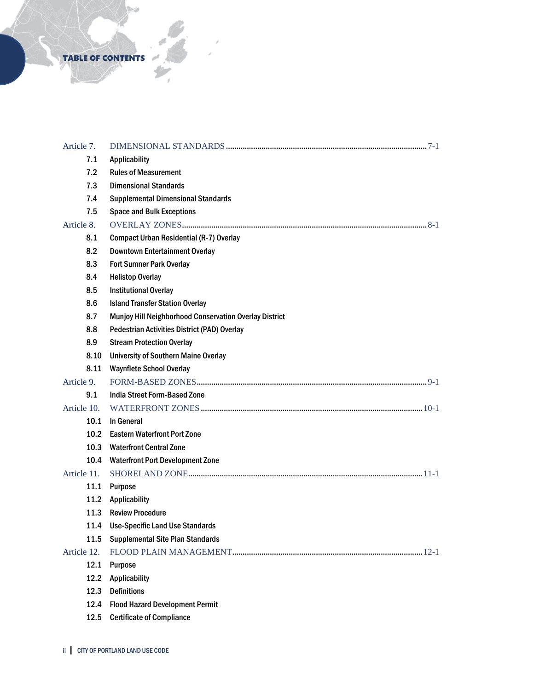# TABLE OF CONTENTS

| Article 7.        |                                                        |  |
|-------------------|--------------------------------------------------------|--|
| 7.1               | Applicability                                          |  |
| 7.2               | <b>Rules of Measurement</b>                            |  |
| 7.3               | <b>Dimensional Standards</b>                           |  |
| 7.4               | <b>Supplemental Dimensional Standards</b>              |  |
| 7.5               | <b>Space and Bulk Exceptions</b>                       |  |
| Article 8.        |                                                        |  |
| 8.1               | <b>Compact Urban Residential (R-7) Overlay</b>         |  |
| 8.2               | <b>Downtown Entertainment Overlay</b>                  |  |
| 8.3               | <b>Fort Sumner Park Overlay</b>                        |  |
| 8.4               | <b>Helistop Overlay</b>                                |  |
| 8.5               | <b>Institutional Overlay</b>                           |  |
| 8.6               | <b>Island Transfer Station Overlay</b>                 |  |
| 8.7               | Munjoy Hill Neighborhood Conservation Overlay District |  |
| 8.8               | Pedestrian Activities District (PAD) Overlay           |  |
| 8.9               | <b>Stream Protection Overlay</b>                       |  |
| 8.10              | <b>University of Southern Maine Overlay</b>            |  |
| 8.11              | <b>Waynflete School Overlay</b>                        |  |
| Article 9.        |                                                        |  |
| 9.1               | <b>India Street Form-Based Zone</b>                    |  |
| Article 10.       |                                                        |  |
| 10.1              | In General                                             |  |
| 10.2 <sub>1</sub> | <b>Eastern Waterfront Port Zone</b>                    |  |
| 10.3              | <b>Waterfront Central Zone</b>                         |  |
| 10.4              | <b>Waterfront Port Development Zone</b>                |  |
| Article 11.       |                                                        |  |
| 11.1              | <b>Purpose</b>                                         |  |
| 11.2              | Applicability                                          |  |
| 11.3              | <b>Review Procedure</b>                                |  |
| 11.4              | <b>Use-Specific Land Use Standards</b>                 |  |
| 11.5              | <b>Supplemental Site Plan Standards</b>                |  |
| Article 12.       |                                                        |  |
| 12.1              | Purpose                                                |  |
| 12.2              | <b>Applicability</b>                                   |  |
| 12.3              | <b>Definitions</b>                                     |  |
| 12.4              | <b>Flood Hazard Development Permit</b>                 |  |
| 12.5              | <b>Certificate of Compliance</b>                       |  |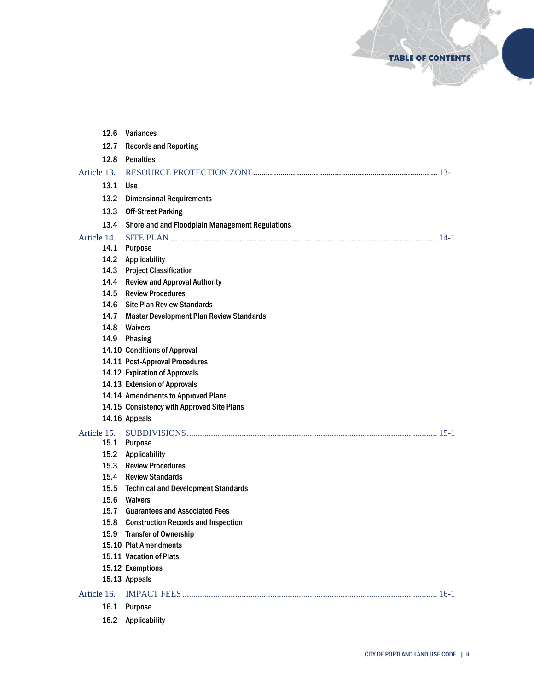TABLE OF CONTENTS

×

| 12.6        | Variances                                              |
|-------------|--------------------------------------------------------|
| 12.7        | <b>Records and Reporting</b>                           |
| 12.8        | <b>Penalties</b>                                       |
| Article 13. |                                                        |
| 13.1        | <b>Use</b>                                             |
| 13.2        | <b>Dimensional Requirements</b>                        |
| 13.3        | <b>Off-Street Parking</b>                              |
| 13.4        | <b>Shoreland and Floodplain Management Regulations</b> |
| Article 14. |                                                        |
| 14.1        | <b>Purpose</b>                                         |
|             | 14.2 Applicability                                     |
|             | 14.3 Project Classification                            |
|             | 14.4 Review and Approval Authority                     |
| 14.5        | <b>Review Procedures</b>                               |
| 14.6        | <b>Site Plan Review Standards</b>                      |
| 14.7        | <b>Master Development Plan Review Standards</b>        |
| 14.8        | Waivers                                                |
|             | 14.9 Phasing                                           |
|             | 14.10 Conditions of Approval                           |
|             | 14.11 Post-Approval Procedures                         |
|             | 14.12 Expiration of Approvals                          |
|             | 14.13 Extension of Approvals                           |
|             | 14.14 Amendments to Approved Plans                     |
|             | 14.15 Consistency with Approved Site Plans             |
|             | 14.16 Appeals                                          |
| Article 15. |                                                        |
|             | 15.1 Purpose                                           |
|             | 15.2 Applicability                                     |
|             | 15.3 Review Procedures                                 |
|             | 15.4 Review Standards                                  |
|             | 15.5 Technical and Development Standards               |
|             | 15.6 Waivers                                           |
|             | 15.7 Guarantees and Associated Fees                    |
|             | 15.8 Construction Records and Inspection               |
| 15.9        | <b>Transfer of Ownership</b>                           |
|             | 15.10 Plat Amendments                                  |
|             | 15.11 Vacation of Plats                                |
|             | 15.12 Exemptions                                       |
|             | 15.13 Appeals                                          |
| Article 16. |                                                        |
| 16.1        | <b>Purpose</b>                                         |
| 16.2        | <b>Applicability</b>                                   |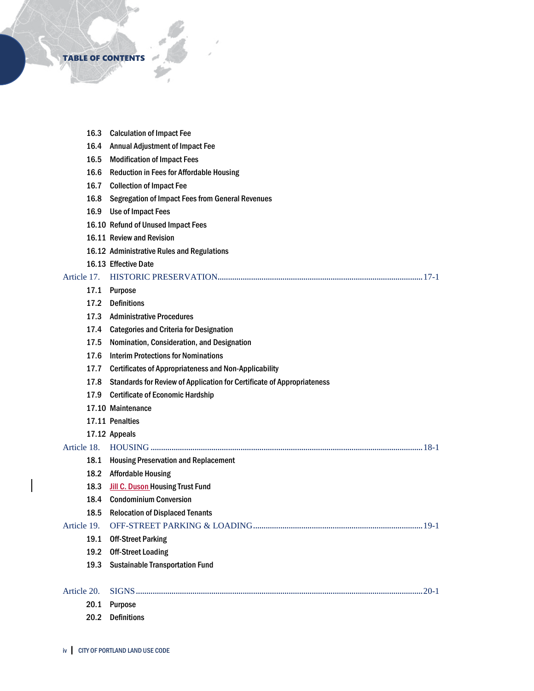

|             | 16.3 | <b>Calculation of Impact Fee</b>                                       |
|-------------|------|------------------------------------------------------------------------|
|             | 16.4 | <b>Annual Adjustment of Impact Fee</b>                                 |
|             | 16.5 | <b>Modification of Impact Fees</b>                                     |
|             | 16.6 | <b>Reduction in Fees for Affordable Housing</b>                        |
|             | 16.7 | <b>Collection of Impact Fee</b>                                        |
|             | 16.8 | <b>Segregation of Impact Fees from General Revenues</b>                |
|             | 16.9 | Use of Impact Fees                                                     |
|             |      | 16.10 Refund of Unused Impact Fees                                     |
|             |      | 16.11 Review and Revision                                              |
|             |      | 16.12 Administrative Rules and Regulations                             |
|             |      | 16.13 Effective Date                                                   |
| Article 17. |      |                                                                        |
|             | 17.1 | Purpose                                                                |
|             | 17.2 | <b>Definitions</b>                                                     |
|             | 17.3 | <b>Administrative Procedures</b>                                       |
|             | 17.4 | <b>Categories and Criteria for Designation</b>                         |
|             | 17.5 | Nomination, Consideration, and Designation                             |
|             | 17.6 | <b>Interim Protections for Nominations</b>                             |
|             | 17.7 | <b>Certificates of Appropriateness and Non-Applicability</b>           |
|             | 17.8 | Standards for Review of Application for Certificate of Appropriateness |
|             | 17.9 | <b>Certificate of Economic Hardship</b>                                |
|             |      | 17.10 Maintenance                                                      |
|             |      | 17.11 Penalties                                                        |
|             |      | 17.12 Appeals                                                          |
| Article 18. |      |                                                                        |
|             | 18.1 | <b>Housing Preservation and Replacement</b>                            |
|             | 18.2 | <b>Affordable Housing</b>                                              |
|             | 18.3 | <b>Jill C. Duson Housing Trust Fund</b>                                |
|             | 18.4 | <b>Condominium Conversion</b>                                          |
|             | 18.5 | <b>Relocation of Displaced Tenants</b>                                 |
| Article 19. |      |                                                                        |
|             | 19.1 | <b>Off-Street Parking</b>                                              |
|             | 19.2 | <b>Off-Street Loading</b>                                              |
|             | 19.3 | <b>Sustainable Transportation Fund</b>                                 |
| Article 20. |      |                                                                        |
|             | 20.1 | Purpose                                                                |
|             | 20.2 | <b>Definitions</b>                                                     |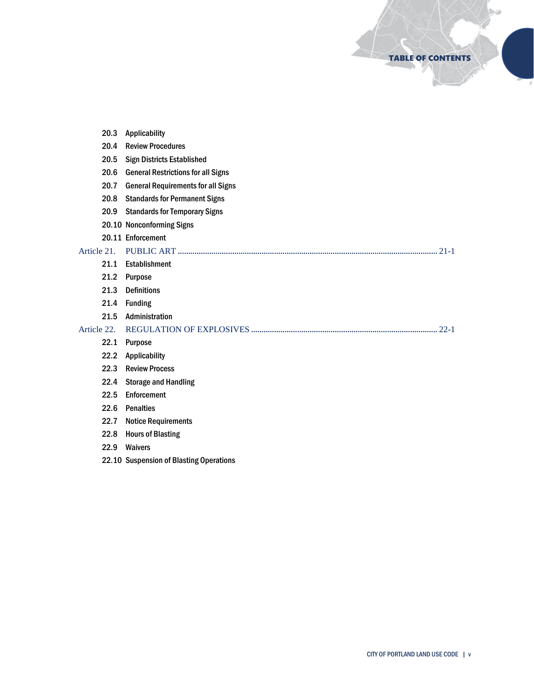TABLE OF CONTENTS

S.

|             | 20.3 | Applicability                             |
|-------------|------|-------------------------------------------|
|             | 20.4 | <b>Review Procedures</b>                  |
|             | 20.5 | <b>Sign Districts Established</b>         |
|             | 20.6 | <b>General Restrictions for all Signs</b> |
|             | 20.7 | <b>General Requirements for all Signs</b> |
|             | 20.8 | <b>Standards for Permanent Signs</b>      |
|             | 20.9 | <b>Standards for Temporary Signs</b>      |
|             |      | 20.10 Nonconforming Signs                 |
|             |      | 20.11 Enforcement                         |
| Article 21. |      |                                           |
|             | 21.1 | Establishment                             |
|             | 21.2 | <b>Purpose</b>                            |
|             | 21.3 | <b>Definitions</b>                        |
|             | 21.4 | <b>Funding</b>                            |
|             | 21.5 | Administration                            |
| Article 22. |      |                                           |
|             | 22.1 | Purpose                                   |
|             | 22.2 | Applicability                             |
|             | 22.3 | <b>Review Process</b>                     |
|             | 22.4 | <b>Storage and Handling</b>               |
|             | 22.5 | Enforcement                               |
|             | 22.6 | <b>Penalties</b>                          |
|             | 22.7 | <b>Notice Requirements</b>                |
|             | 22.8 | <b>Hours of Blasting</b>                  |
|             | 22.9 | <b>Waivers</b>                            |
|             |      | 22.10 Suspension of Blasting Operations   |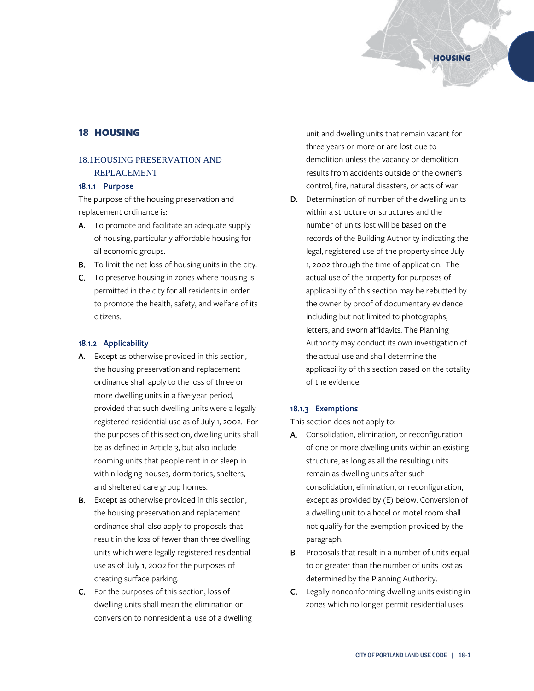# 18 HOUSING

# 18.1HOUSING PRESERVATION AND REPLACEMENT

## 18.1.1 Purpose

The purpose of the housing preservation and replacement ordinance is:

- A. To promote and facilitate an adequate supply of housing, particularly affordable housing for all economic groups.
- **B.** To limit the net loss of housing units in the city.
- C. To preserve housing in zones where housing is permitted in the city for all residents in order to promote the health, safety, and welfare of its citizens.

#### 18.1.2 Applicability

- A. Except as otherwise provided in this section, the housing preservation and replacement ordinance shall apply to the loss of three or more dwelling units in a five-year period, provided that such dwelling units were a legally registered residential use as of July 1, 2002. For the purposes of this section, dwelling units shall be as defined in Article 3, but also include rooming units that people rent in or sleep in within lodging houses, dormitories, shelters, and sheltered care group homes.
- **B.** Except as otherwise provided in this section, the housing preservation and replacement ordinance shall also apply to proposals that result in the loss of fewer than three dwelling units which were legally registered residential use as of July 1, 2002 for the purposes of creating surface parking.
- C. For the purposes of this section, loss of dwelling units shall mean the elimination or conversion to nonresidential use of a dwelling

unit and dwelling units that remain vacant for three years or more or are lost due to demolition unless the vacancy or demolition results from accidents outside of the owner's control, fire, natural disasters, or acts of war.

D. Determination of number of the dwelling units within a structure or structures and the number of units lost will be based on the records of the Building Authority indicating the legal, registered use of the property since July 1, 2002 through the time of application. The actual use of the property for purposes of applicability of this section may be rebutted by the owner by proof of documentary evidence including but not limited to photographs, letters, and sworn affidavits. The Planning Authority may conduct its own investigation of the actual use and shall determine the applicability of this section based on the totality of the evidence.

## 18.1.3 Exemptions

This section does not apply to:

- A. Consolidation, elimination, or reconfiguration of one or more dwelling units within an existing structure, as long as all the resulting units remain as dwelling units after such consolidation, elimination, or reconfiguration, except as provided by (E) below. Conversion of a dwelling unit to a hotel or motel room shall not qualify for the exemption provided by the paragraph.
- **B.** Proposals that result in a number of units equal to or greater than the number of units lost as determined by the Planning Authority.
- C. Legally nonconforming dwelling units existing in zones which no longer permit residential uses.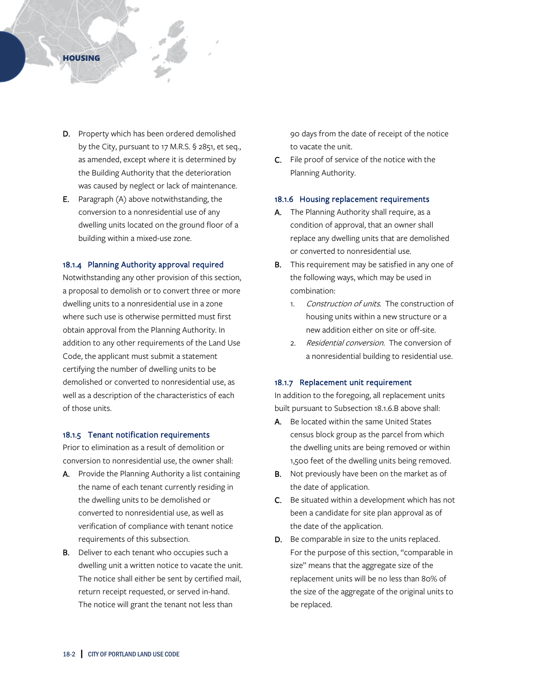## **HOUSING**

- D. Property which has been ordered demolished by the City, pursuant to 17 M.R.S. § 2851, et seq., as amended, except where it is determined by the Building Authority that the deterioration was caused by neglect or lack of maintenance.
- E. Paragraph (A) above notwithstanding, the conversion to a nonresidential use of any dwelling units located on the ground floor of a building within a mixed-use zone.

## 18.1.4 Planning Authority approval required

Notwithstanding any other provision of this section, a proposal to demolish or to convert three or more dwelling units to a nonresidential use in a zone where such use is otherwise permitted must first obtain approval from the Planning Authority. In addition to any other requirements of the Land Use Code, the applicant must submit a statement certifying the number of dwelling units to be demolished or converted to nonresidential use, as well as a description of the characteristics of each of those units.

#### 18.1.5 Tenant notification requirements

Prior to elimination as a result of demolition or conversion to nonresidential use, the owner shall:

- A. Provide the Planning Authority a list containing the name of each tenant currently residing in the dwelling units to be demolished or converted to nonresidential use, as well as verification of compliance with tenant notice requirements of this subsection.
- **B.** Deliver to each tenant who occupies such a dwelling unit a written notice to vacate the unit. The notice shall either be sent by certified mail, return receipt requested, or served in-hand. The notice will grant the tenant not less than

90 days from the date of receipt of the notice to vacate the unit.

C. File proof of service of the notice with the Planning Authority.

#### 18.1.6 Housing replacement requirements

- A. The Planning Authority shall require, as a condition of approval, that an owner shall replace any dwelling units that are demolished or converted to nonresidential use.
- **B.** This requirement may be satisfied in any one of the following ways, which may be used in combination:
	- 1. Construction of units. The construction of housing units within a new structure or a new addition either on site or off-site.
	- 2. Residential conversion. The conversion of a nonresidential building to residential use.

#### 18.1.7 Replacement unit requirement

In addition to the foregoing, all replacement units built pursuant to Subsection 18.1.6.B above shall:

- A. Be located within the same United States census block group as the parcel from which the dwelling units are being removed or within 1,500 feet of the dwelling units being removed.
- **B.** Not previously have been on the market as of the date of application.
- C. Be situated within a development which has not been a candidate for site plan approval as of the date of the application.
- D. Be comparable in size to the units replaced. For the purpose of this section, "comparable in size" means that the aggregate size of the replacement units will be no less than 80% of the size of the aggregate of the original units to be replaced.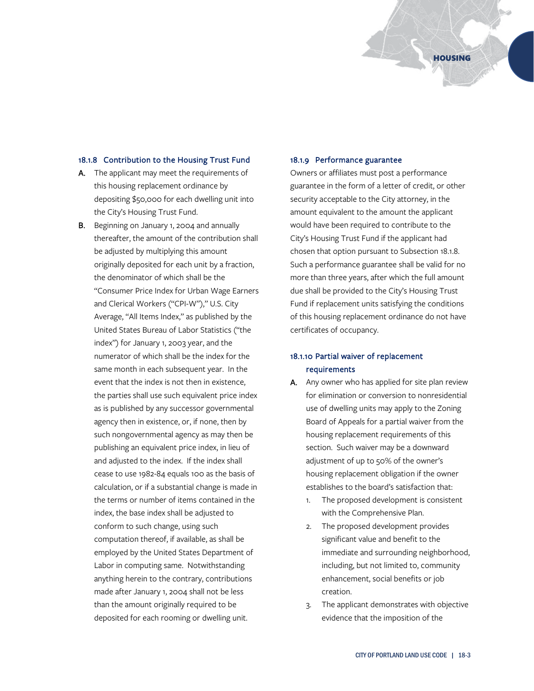#### 18.1.8 Contribution to the Housing Trust Fund

- A. The applicant may meet the requirements of this housing replacement ordinance by depositing \$50,000 for each dwelling unit into the City's Housing Trust Fund.
- B. Beginning on January 1, 2004 and annually thereafter, the amount of the contribution shall be adjusted by multiplying this amount originally deposited for each unit by a fraction, the denominator of which shall be the "Consumer Price Index for Urban Wage Earners and Clerical Workers ("CPI-W")," U.S. City Average, "All Items Index," as published by the United States Bureau of Labor Statistics ("the index") for January 1, 2003 year, and the numerator of which shall be the index for the same month in each subsequent year. In the event that the index is not then in existence, the parties shall use such equivalent price index as is published by any successor governmental agency then in existence, or, if none, then by such nongovernmental agency as may then be publishing an equivalent price index, in lieu of and adjusted to the index. If the index shall cease to use 1982-84 equals 100 as the basis of calculation, or if a substantial change is made in the terms or number of items contained in the index, the base index shall be adjusted to conform to such change, using such computation thereof, if available, as shall be employed by the United States Department of Labor in computing same. Notwithstanding anything herein to the contrary, contributions made after January 1, 2004 shall not be less than the amount originally required to be deposited for each rooming or dwelling unit.

#### 18.1.9 Performance guarantee

Owners or affiliates must post a performance guarantee in the form of a letter of credit, or other security acceptable to the City attorney, in the amount equivalent to the amount the applicant would have been required to contribute to the City's Housing Trust Fund if the applicant had chosen that option pursuant to Subsection 18.1.8. Such a performance guarantee shall be valid for no more than three years, after which the full amount due shall be provided to the City's Housing Trust Fund if replacement units satisfying the conditions of this housing replacement ordinance do not have certificates of occupancy.

# 18.1.10 Partial waiver of replacement requirements

- A. Any owner who has applied for site plan review for elimination or conversion to nonresidential use of dwelling units may apply to the Zoning Board of Appeals for a partial waiver from the housing replacement requirements of this section. Such waiver may be a downward adjustment of up to 50% of the owner's housing replacement obligation if the owner establishes to the board's satisfaction that:
	- 1. The proposed development is consistent with the Comprehensive Plan.
	- 2. The proposed development provides significant value and benefit to the immediate and surrounding neighborhood, including, but not limited to, community enhancement, social benefits or job creation.
	- 3. The applicant demonstrates with objective evidence that the imposition of the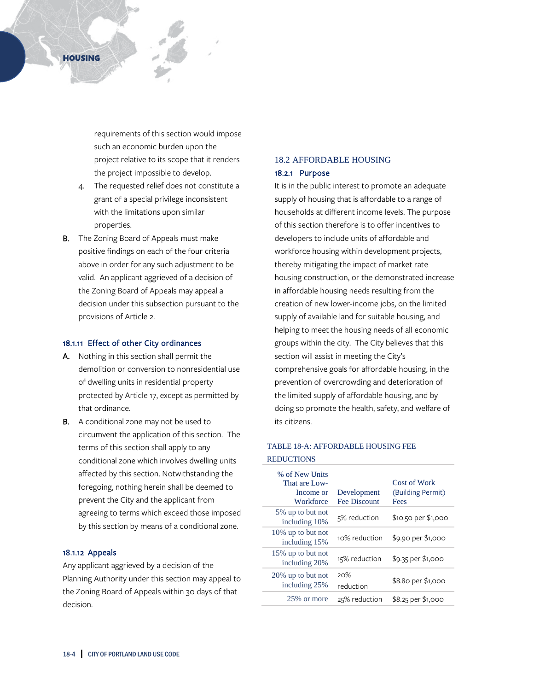requirements of this section would impose such an economic burden upon the project relative to its scope that it renders the project impossible to develop.

- 4. The requested relief does not constitute a grant of a special privilege inconsistent with the limitations upon similar properties.
- B. The Zoning Board of Appeals must make positive findings on each of the four criteria above in order for any such adjustment to be valid. An applicant aggrieved of a decision of the Zoning Board of Appeals may appeal a decision under this subsection pursuant to the provisions of Article 2.

### 18.1.11 Effect of other City ordinances

- A. Nothing in this section shall permit the demolition or conversion to nonresidential use of dwelling units in residential property protected by Article 17, except as permitted by that ordinance.
- B. A conditional zone may not be used to circumvent the application of this section. The terms of this section shall apply to any conditional zone which involves dwelling units affected by this section. Notwithstanding the foregoing, nothing herein shall be deemed to prevent the City and the applicant from agreeing to terms which exceed those imposed by this section by means of a conditional zone.

## 18.1.12 Appeals

Any applicant aggrieved by a decision of the Planning Authority under this section may appeal to the Zoning Board of Appeals within 30 days of that decision.

# 18.2 AFFORDABLE HOUSING

# 18.2.1 Purpose

It is in the public interest to promote an adequate supply of housing that is affordable to a range of households at different income levels. The purpose of this section therefore is to offer incentives to developers to include units of affordable and workforce housing within development projects, thereby mitigating the impact of market rate housing construction, or the demonstrated increase in affordable housing needs resulting from the creation of new lower-income jobs, on the limited supply of available land for suitable housing, and helping to meet the housing needs of all economic groups within the city. The City believes that this section will assist in meeting the City's comprehensive goals for affordable housing, in the prevention of overcrowding and deterioration of the limited supply of affordable housing, and by doing so promote the health, safety, and welfare of its citizens.

# TABLE 18-A: AFFORDABLE HOUSING FEE

REDUCTIONS

| % of New Units<br>That are Low-<br>Income or<br>Workforce | Development<br><b>Fee Discount</b> | Cost of Work<br>(Building Permit)<br>Fees |
|-----------------------------------------------------------|------------------------------------|-------------------------------------------|
| 5% up to but not<br>including 10%                         | 5% reduction                       | \$10.50 per \$1,000                       |
| 10% up to but not<br>including 15%                        | 10% reduction                      | \$9.90 per \$1,000                        |
| 15% up to but not<br>including 20%                        | 15% reduction                      | \$9.35 per \$1,000                        |
| 20% up to but not<br>including 25%                        | 20%<br>reduction                   | \$8.80 per \$1,000                        |
| 25\% or more                                              | 25% reduction                      | \$8.25 per \$1,000                        |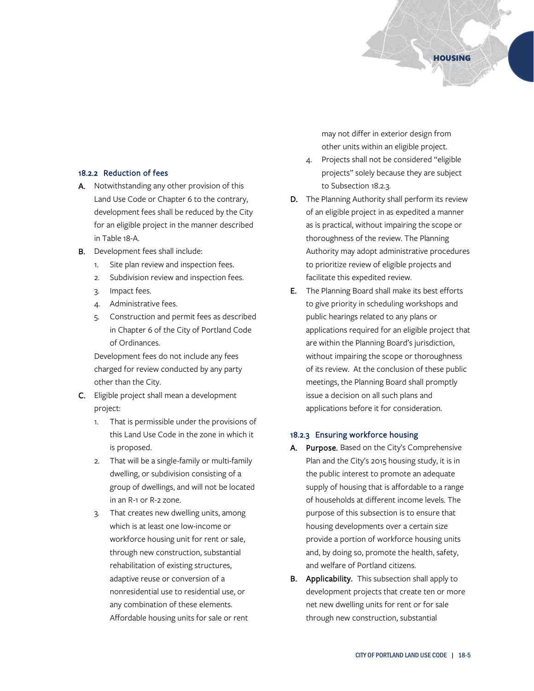## 18.2.2 Reduction of fees

- A. Notwithstanding any other provision of this Land Use Code or Chapter 6 to the contrary, development fees shall be reduced by the City for an eligible project in the manner described in Table 18-A.
- B. Development fees shall include:
	- 1. Site plan review and inspection fees.
	- 2. Subdivision review and inspection fees.
	- 3. Impact fees.
	- 4. Administrative fees.
	- 5. Construction and permit fees as described in Chapter 6 of the City of Portland Code of Ordinances.

Development fees do not include any fees charged for review conducted by any party other than the City.

- C. Eligible project shall mean a development project:
	- 1. That is permissible under the provisions of this Land Use Code in the zone in which it is proposed.
	- 2. That will be a single-family or multi-family dwelling, or subdivision consisting of a group of dwellings, and will not be located in an R-1 or R-2 zone.
	- 3. That creates new dwelling units, among which is at least one low-income or workforce housing unit for rent or sale, through new construction, substantial rehabilitation of existing structures, adaptive reuse or conversion of a nonresidential use to residential use, or any combination of these elements. Affordable housing units for sale or rent

may not differ in exterior design from other units within an eligible project.

HOUSING

- 4. Projects shall not be considered "eligible projects" solely because they are subject to Subsection 18.2.3.
- D. The Planning Authority shall perform its review of an eligible project in as expedited a manner as is practical, without impairing the scope or thoroughness of the review. The Planning Authority may adopt administrative procedures to prioritize review of eligible projects and facilitate this expedited review.
- E. The Planning Board shall make its best efforts to give priority in scheduling workshops and public hearings related to any plans or applications required for an eligible project that are within the Planning Board's jurisdiction, without impairing the scope or thoroughness of its review. At the conclusion of these public meetings, the Planning Board shall promptly issue a decision on all such plans and applications before it for consideration.

#### 18.2.3 Ensuring workforce housing

- A. Purpose. Based on the City's Comprehensive Plan and the City's 2015 housing study, it is in the public interest to promote an adequate supply of housing that is affordable to a range of households at different income levels. The purpose of this subsection is to ensure that housing developments over a certain size provide a portion of workforce housing units and, by doing so, promote the health, safety, and welfare of Portland citizens.
- B. Applicability. This subsection shall apply to development projects that create ten or more net new dwelling units for rent or for sale through new construction, substantial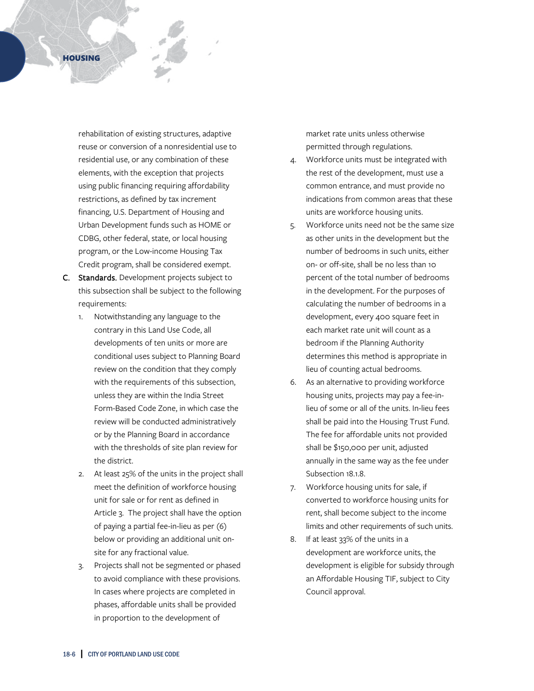rehabilitation of existing structures, adaptive reuse or conversion of a nonresidential use to residential use, or any combination of these elements, with the exception that projects using public financing requiring affordability restrictions, as defined by tax increment financing, U.S. Department of Housing and Urban Development funds such as HOME or CDBG, other federal, state, or local housing program, or the Low-income Housing Tax Credit program, shall be considered exempt.

- C. Standards. Development projects subject to this subsection shall be subject to the following requirements:
	- 1. Notwithstanding any language to the contrary in this Land Use Code, all developments of ten units or more are conditional uses subject to Planning Board review on the condition that they comply with the requirements of this subsection, unless they are within the India Street Form-Based Code Zone, in which case the review will be conducted administratively or by the Planning Board in accordance with the thresholds of site plan review for the district.
	- 2. At least 25% of the units in the project shall meet the definition of workforce housing unit for sale or for rent as defined in Article 3. The project shall have the option of paying a partial fee-in-lieu as per (6) below or providing an additional unit onsite for any fractional value.
	- 3. Projects shall not be segmented or phased to avoid compliance with these provisions. In cases where projects are completed in phases, affordable units shall be provided in proportion to the development of

market rate units unless otherwise permitted through regulations.

- 4. Workforce units must be integrated with the rest of the development, must use a common entrance, and must provide no indications from common areas that these units are workforce housing units.
- 5. Workforce units need not be the same size as other units in the development but the number of bedrooms in such units, either on- or off-site, shall be no less than 10 percent of the total number of bedrooms in the development. For the purposes of calculating the number of bedrooms in a development, every 400 square feet in each market rate unit will count as a bedroom if the Planning Authority determines this method is appropriate in lieu of counting actual bedrooms.
- 6. As an alternative to providing workforce housing units, projects may pay a fee-inlieu of some or all of the units. In-lieu fees shall be paid into the Housing Trust Fund. The fee for affordable units not provided shall be \$150,000 per unit, adjusted annually in the same way as the fee under Subsection 18.1.8.
- 7. Workforce housing units for sale, if converted to workforce housing units for rent, shall become subject to the income limits and other requirements of such units.
- 8. If at least 33% of the units in a development are workforce units, the development is eligible for subsidy through an Affordable Housing TIF, subject to City Council approval.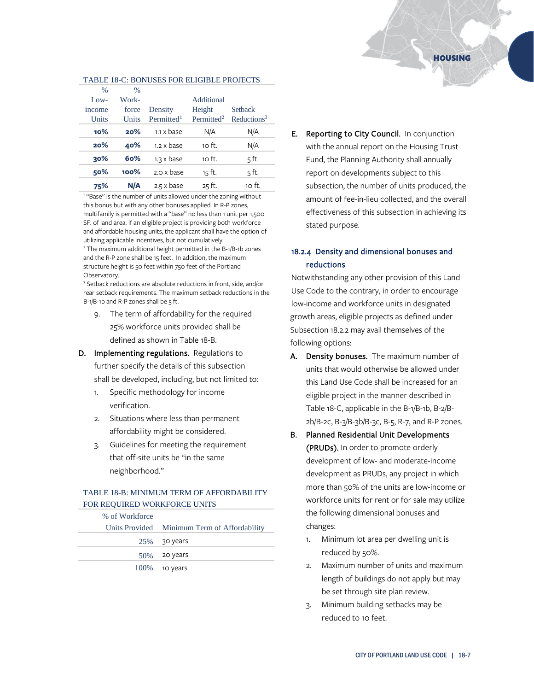#### TABLE 18-C: BONUSES FOR ELIGIBLE PROJECTS

| $\frac{0}{0}$ | $\frac{0}{0}$ |                          |                        |                         |
|---------------|---------------|--------------------------|------------------------|-------------------------|
| $Low-$        | Work-         |                          | Additional             |                         |
| income        | force         | Density                  | Height                 | <b>Setback</b>          |
| Units         | Units         | Permitted <sup>1</sup>   | Permitted <sup>2</sup> | Reductions <sup>3</sup> |
| $10\%$        | 20%           | $1.1 \times \text{base}$ | N/A                    | N/A                     |
| 20%           | 40%           | $1.2 \times base$        | 10 ft.                 | N/A                     |
| 30%           | 60%           | $1.3 \times base$        | 10 ft.                 | 5ft.                    |
| 50%           | 100%          | 2.0 x base               | 15 ft.                 | 5 ft.                   |
| 75%           | N/A           | $2.5 \times base$        | 25 ft.                 | 10 ft.                  |

<sup>1</sup> "Base" is the number of units allowed under the zoning without this bonus but with any other bonuses applied. In R-P zones, multifamily is permitted with a "base" no less than 1 unit per 1,500 SF. of land area. If an eligible project is providing both workforce and affordable housing units, the applicant shall have the option of utilizing applicable incentives, but not cumulatively.

<sup>2</sup> The maximum additional height permitted in the B-1/B-1b zones and the R-P zone shall be 15 feet. In addition, the maximum structure height is 50 feet within 750 feet of the Portland Observatory.

<sup>3</sup> Setback reductions are absolute reductions in front, side, and/or rear setback requirements. The maximum setback reductions in the B-1/B-1b and R-P zones shall be 5 ft.

- 9. The term of affordability for the required 25% workforce units provided shall be defined as shown in Table 18-B.
- D. Implementing regulations. Regulations to further specify the details of this subsection shall be developed, including, but not limited to:
	- 1. Specific methodology for income verification.
	- 2. Situations where less than permanent affordability might be considered.
	- 3. Guidelines for meeting the requirement that off-site units be "in the same neighborhood."

## TABLE 18-B: MINIMUM TERM OF AFFORDABILITY FOR REQUIRED WORKFORCE UNITS

| % of Workforce |                                              |
|----------------|----------------------------------------------|
|                | Units Provided Minimum Term of Affordability |
|                | $25\%$ 30 years                              |
|                | $50\%$ 20 years                              |
|                | $100\%$ 10 years                             |

E. Reporting to City Council. In conjunction with the annual report on the Housing Trust Fund, the Planning Authority shall annually report on developments subject to this subsection, the number of units produced, the amount of fee-in-lieu collected, and the overall effectiveness of this subsection in achieving its stated purpose.

# 18.2.4 Density and dimensional bonuses and reductions

Notwithstanding any other provision of this Land Use Code to the contrary, in order to encourage low-income and workforce units in designated growth areas, eligible projects as defined under Subsection 18.2.2 may avail themselves of the following options:

- A. Density bonuses. The maximum number of units that would otherwise be allowed under this Land Use Code shall be increased for an eligible project in the manner described in Table 18-C, applicable in the B-1/B-1b, B-2/B-2b/B-2c, B-3/B-3b/B-3c, B-5, R-7, and R-P zones.
- B. Planned Residential Unit Developments (PRUDs). In order to promote orderly development of low- and moderate-income development as PRUDs, any project in which more than 50% of the units are low-income or workforce units for rent or for sale may utilize the following dimensional bonuses and changes:
	- 1. Minimum lot area per dwelling unit is reduced by 50%.
	- 2. Maximum number of units and maximum length of buildings do not apply but may be set through site plan review.
	- 3. Minimum building setbacks may be reduced to 10 feet.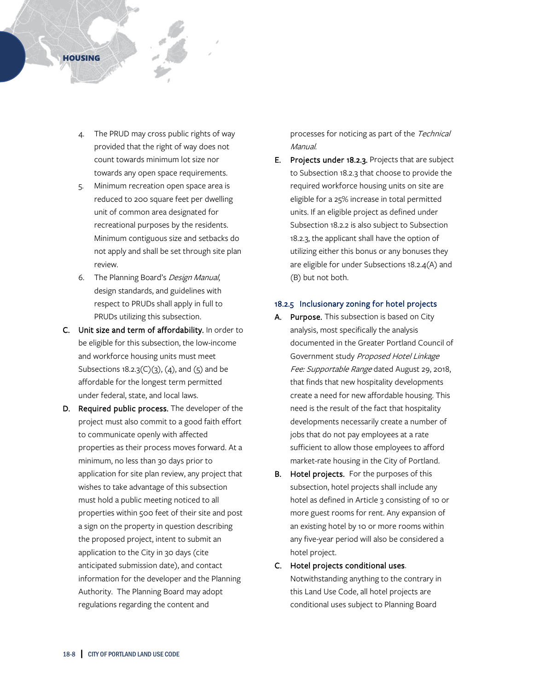

- The PRUD may cross public rights of way provided that the right of way does not count towards minimum lot size nor towards any open space requirements.
- 5. Minimum recreation open space area is reduced to 200 square feet per dwelling unit of common area designated for recreational purposes by the residents. Minimum contiguous size and setbacks do not apply and shall be set through site plan review.
- 6. The Planning Board's Design Manual, design standards, and guidelines with respect to PRUDs shall apply in full to PRUDs utilizing this subsection.
- C. Unit size and term of affordability. In order to be eligible for this subsection, the low-income and workforce housing units must meet Subsections  $18.2.3(C)(3)$ ,  $(4)$ , and  $(5)$  and be affordable for the longest term permitted under federal, state, and local laws.
- D. Required public process. The developer of the project must also commit to a good faith effort to communicate openly with affected properties as their process moves forward. At a minimum, no less than 30 days prior to application for site plan review, any project that wishes to take advantage of this subsection must hold a public meeting noticed to all properties within 500 feet of their site and post a sign on the property in question describing the proposed project, intent to submit an application to the City in 30 days (cite anticipated submission date), and contact information for the developer and the Planning Authority. The Planning Board may adopt regulations regarding the content and

processes for noticing as part of the Technical Manual.

E. Projects under 18.2.3. Projects that are subject to Subsection 18.2.3 that choose to provide the required workforce housing units on site are eligible for a 25% increase in total permitted units. If an eligible project as defined under Subsection 18.2.2 is also subject to Subsection 18.2.3, the applicant shall have the option of utilizing either this bonus or any bonuses they are eligible for under Subsections 18.2.4(A) and (B) but not both.

## 18.2.5 Inclusionary zoning for hotel projects

- A. Purpose. This subsection is based on City analysis, most specifically the analysis documented in the Greater Portland Council of Government study Proposed Hotel Linkage Fee: Supportable Range dated August 29, 2018, that finds that new hospitality developments create a need for new affordable housing. This need is the result of the fact that hospitality developments necessarily create a number of jobs that do not pay employees at a rate sufficient to allow those employees to afford market-rate housing in the City of Portland.
- B. Hotel projects. For the purposes of this subsection, hotel projects shall include any hotel as defined in Article 3 consisting of 10 or more guest rooms for rent. Any expansion of an existing hotel by 10 or more rooms within any five-year period will also be considered a hotel project.
- C. Hotel projects conditional uses. Notwithstanding anything to the contrary in this Land Use Code, all hotel projects are conditional uses subject to Planning Board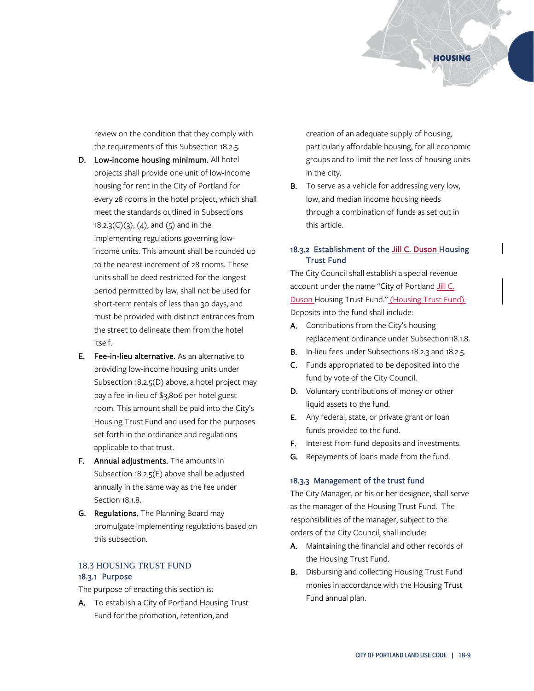review on the condition that they comply with the requirements of this Subsection 18.2.5.

- D. Low-income housing minimum. All hotel projects shall provide one unit of low-income housing for rent in the City of Portland for every 28 rooms in the hotel project, which shall meet the standards outlined in Subsections  $18.2.3(C)(3)$ , (4), and (5) and in the implementing regulations governing lowincome units. This amount shall be rounded up to the nearest increment of 28 rooms. These units shall be deed restricted for the longest period permitted by law, shall not be used for short-term rentals of less than 30 days, and must be provided with distinct entrances from the street to delineate them from the hotel itself.
- E. Fee-in-lieu alternative. As an alternative to providing low-income housing units under Subsection 18.2.5(D) above, a hotel project may pay a fee-in-lieu of \$3,806 per hotel guest room. This amount shall be paid into the City's Housing Trust Fund and used for the purposes set forth in the ordinance and regulations applicable to that trust.
- F. Annual adjustments. The amounts in Subsection 18.2.5(E) above shall be adjusted annually in the same way as the fee under Section 18.1.8.
- G. Regulations. The Planning Board may promulgate implementing regulations based on this subsection.

# 18.3 HOUSING TRUST FUND 18.3.1 Purpose

The purpose of enacting this section is:

A. To establish a City of Portland Housing Trust Fund for the promotion, retention, and

creation of an adequate supply of housing, particularly affordable housing, for all economic groups and to limit the net loss of housing units in the city.

**B.** To serve as a vehicle for addressing very low, low, and median income housing needs through a combination of funds as set out in this article.

# 18.3.2 Establishment of the Jill C. Duson Housing Trust Fund

The City Council shall establish a special revenue account under the name "City of Portland Jill C. Duson Housing Trust Fund." (Housing Trust Fund). Deposits into the fund shall include:

- A. Contributions from the City's housing replacement ordinance under Subsection 18.1.8.
- B. In-lieu fees under Subsections 18.2.3 and 18.2.5.
- C. Funds appropriated to be deposited into the fund by vote of the City Council.
- D. Voluntary contributions of money or other liquid assets to the fund.
- E. Any federal, state, or private grant or loan funds provided to the fund.
- F. Interest from fund deposits and investments.
- G. Repayments of loans made from the fund.

#### 18.3.3 Management of the trust fund

The City Manager, or his or her designee, shall serve as the manager of the Housing Trust Fund. The responsibilities of the manager, subject to the orders of the City Council, shall include:

- A. Maintaining the financial and other records of the Housing Trust Fund.
- B. Disbursing and collecting Housing Trust Fund monies in accordance with the Housing Trust Fund annual plan.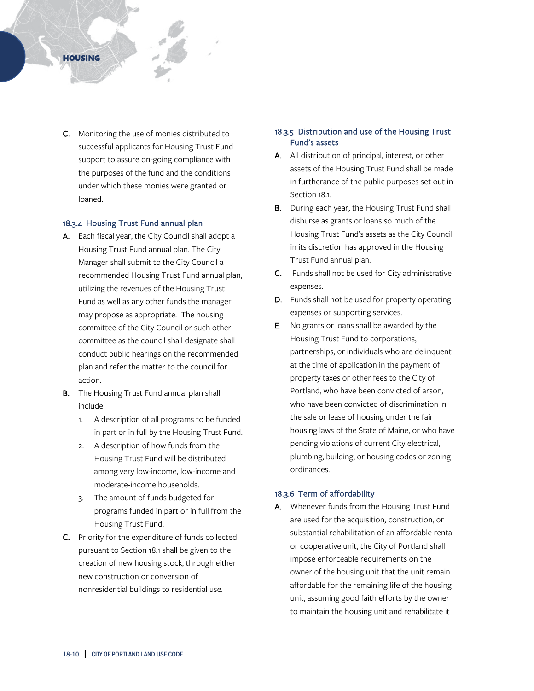## **HOUSING**

C. Monitoring the use of monies distributed to successful applicants for Housing Trust Fund support to assure on-going compliance with the purposes of the fund and the conditions under which these monies were granted or loaned.

#### 18.3.4 Housing Trust Fund annual plan

- A. Each fiscal year, the City Council shall adopt a Housing Trust Fund annual plan. The City Manager shall submit to the City Council a recommended Housing Trust Fund annual plan, utilizing the revenues of the Housing Trust Fund as well as any other funds the manager may propose as appropriate. The housing committee of the City Council or such other committee as the council shall designate shall conduct public hearings on the recommended plan and refer the matter to the council for action.
- **B.** The Housing Trust Fund annual plan shall include:
	- 1. A description of all programs to be funded in part or in full by the Housing Trust Fund.
	- 2. A description of how funds from the Housing Trust Fund will be distributed among very low-income, low-income and moderate-income households.
	- 3. The amount of funds budgeted for programs funded in part or in full from the Housing Trust Fund.
- C. Priority for the expenditure of funds collected pursuant to Section 18.1 shall be given to the creation of new housing stock, through either new construction or conversion of nonresidential buildings to residential use.

# 18.3.5 Distribution and use of the Housing Trust Fund's assets

- A. All distribution of principal, interest, or other assets of the Housing Trust Fund shall be made in furtherance of the public purposes set out in Section 18.1.
- **B.** During each year, the Housing Trust Fund shall disburse as grants or loans so much of the Housing Trust Fund's assets as the City Council in its discretion has approved in the Housing Trust Fund annual plan.
- C. Funds shall not be used for City administrative expenses.
- D. Funds shall not be used for property operating expenses or supporting services.
- E. No grants or loans shall be awarded by the Housing Trust Fund to corporations, partnerships, or individuals who are delinquent at the time of application in the payment of property taxes or other fees to the City of Portland, who have been convicted of arson, who have been convicted of discrimination in the sale or lease of housing under the fair housing laws of the State of Maine, or who have pending violations of current City electrical, plumbing, building, or housing codes or zoning ordinances.

## 18.3.6 Term of affordability

A. Whenever funds from the Housing Trust Fund are used for the acquisition, construction, or substantial rehabilitation of an affordable rental or cooperative unit, the City of Portland shall impose enforceable requirements on the owner of the housing unit that the unit remain affordable for the remaining life of the housing unit, assuming good faith efforts by the owner to maintain the housing unit and rehabilitate it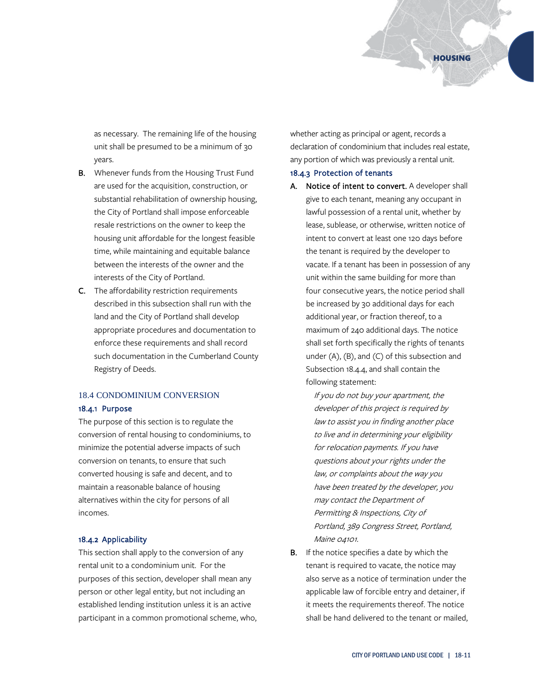as necessary. The remaining life of the housing unit shall be presumed to be a minimum of 30 years.

- B. Whenever funds from the Housing Trust Fund are used for the acquisition, construction, or substantial rehabilitation of ownership housing, the City of Portland shall impose enforceable resale restrictions on the owner to keep the housing unit affordable for the longest feasible time, while maintaining and equitable balance between the interests of the owner and the interests of the City of Portland.
- C. The affordability restriction requirements described in this subsection shall run with the land and the City of Portland shall develop appropriate procedures and documentation to enforce these requirements and shall record such documentation in the Cumberland County Registry of Deeds.

#### 18.4 CONDOMINIUM CONVERSION

## 18.4.1 Purpose

The purpose of this section is to regulate the conversion of rental housing to condominiums, to minimize the potential adverse impacts of such conversion on tenants, to ensure that such converted housing is safe and decent, and to maintain a reasonable balance of housing alternatives within the city for persons of all incomes.

#### 18.4.2 Applicability

This section shall apply to the conversion of any rental unit to a condominium unit. For the purposes of this section, developer shall mean any person or other legal entity, but not including an established lending institution unless it is an active participant in a common promotional scheme, who, whether acting as principal or agent, records a declaration of condominium that includes real estate, any portion of which was previously a rental unit.

## 18.4.3 Protection of tenants

A. Notice of intent to convert. A developer shall give to each tenant, meaning any occupant in lawful possession of a rental unit, whether by lease, sublease, or otherwise, written notice of intent to convert at least one 120 days before the tenant is required by the developer to vacate. If a tenant has been in possession of any unit within the same building for more than four consecutive years, the notice period shall be increased by 30 additional days for each additional year, or fraction thereof, to a maximum of 240 additional days. The notice shall set forth specifically the rights of tenants under (A), (B), and (C) of this subsection and Subsection 18.4.4, and shall contain the following statement:

> If you do not buy your apartment, the developer of this project is required by law to assist you in finding another place to live and in determining your eligibility for relocation payments. If you have questions about your rights under the law, or complaints about the way you have been treated by the developer, you may contact the Department of Permitting & Inspections, City of Portland, 389 Congress Street, Portland, Maine 04101.

B. If the notice specifies a date by which the tenant is required to vacate, the notice may also serve as a notice of termination under the applicable law of forcible entry and detainer, if it meets the requirements thereof. The notice shall be hand delivered to the tenant or mailed,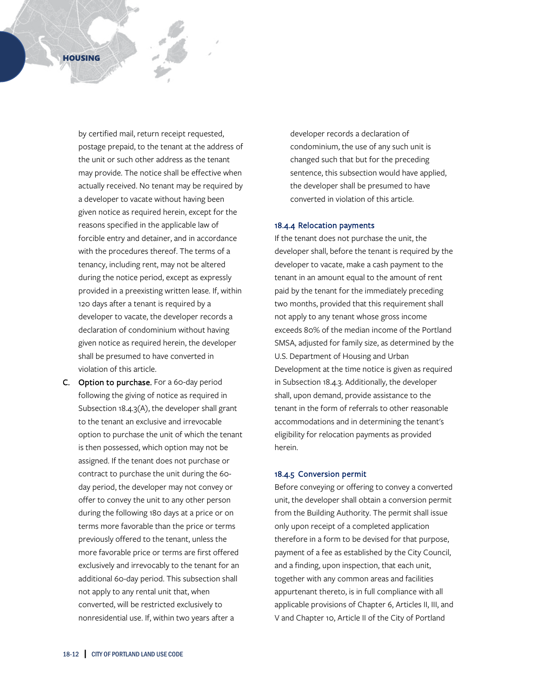by certified mail, return receipt requested, postage prepaid, to the tenant at the address of the unit or such other address as the tenant may provide. The notice shall be effective when actually received. No tenant may be required by a developer to vacate without having been given notice as required herein, except for the reasons specified in the applicable law of forcible entry and detainer, and in accordance with the procedures thereof. The terms of a tenancy, including rent, may not be altered during the notice period, except as expressly provided in a preexisting written lease. If, within 120 days after a tenant is required by a developer to vacate, the developer records a declaration of condominium without having given notice as required herein, the developer shall be presumed to have converted in violation of this article.

C. Option to purchase. For a 60-day period following the giving of notice as required in Subsection 18.4.3(A), the developer shall grant to the tenant an exclusive and irrevocable option to purchase the unit of which the tenant is then possessed, which option may not be assigned. If the tenant does not purchase or contract to purchase the unit during the 60 day period, the developer may not convey or offer to convey the unit to any other person during the following 180 days at a price or on terms more favorable than the price or terms previously offered to the tenant, unless the more favorable price or terms are first offered exclusively and irrevocably to the tenant for an additional 60-day period. This subsection shall not apply to any rental unit that, when converted, will be restricted exclusively to nonresidential use. If, within two years after a

developer records a declaration of condominium, the use of any such unit is changed such that but for the preceding sentence, this subsection would have applied, the developer shall be presumed to have converted in violation of this article.

## 18.4.4 Relocation payments

If the tenant does not purchase the unit, the developer shall, before the tenant is required by the developer to vacate, make a cash payment to the tenant in an amount equal to the amount of rent paid by the tenant for the immediately preceding two months, provided that this requirement shall not apply to any tenant whose gross income exceeds 80% of the median income of the Portland SMSA, adjusted for family size, as determined by the U.S. Department of Housing and Urban Development at the time notice is given as required in Subsection 18.4.3. Additionally, the developer shall, upon demand, provide assistance to the tenant in the form of referrals to other reasonable accommodations and in determining the tenant's eligibility for relocation payments as provided herein.

### 18.4.5 Conversion permit

Before conveying or offering to convey a converted unit, the developer shall obtain a conversion permit from the Building Authority. The permit shall issue only upon receipt of a completed application therefore in a form to be devised for that purpose, payment of a fee as established by the City Council, and a finding, upon inspection, that each unit, together with any common areas and facilities appurtenant thereto, is in full compliance with all applicable provisions of Chapter 6, Articles II, III, and V and Chapter 10, Article II of the City of Portland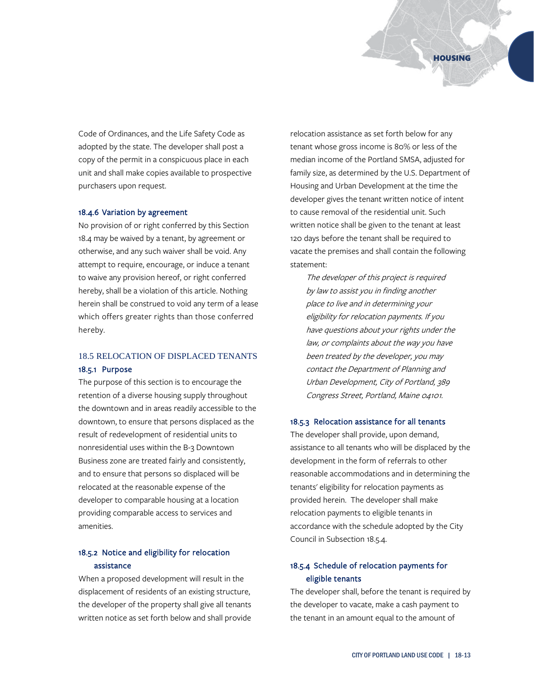

Code of Ordinances, and the Life Safety Code as adopted by the state. The developer shall post a copy of the permit in a conspicuous place in each unit and shall make copies available to prospective purchasers upon request.

## 18.4.6 Variation by agreement

No provision of or right conferred by this Section 18.4 may be waived by a tenant, by agreement or otherwise, and any such waiver shall be void. Any attempt to require, encourage, or induce a tenant to waive any provision hereof, or right conferred hereby, shall be a violation of this article. Nothing herein shall be construed to void any term of a lease which offers greater rights than those conferred hereby.

# 18.5 RELOCATION OF DISPLACED TENANTS 18.5.1 Purpose

The purpose of this section is to encourage the retention of a diverse housing supply throughout the downtown and in areas readily accessible to the downtown, to ensure that persons displaced as the result of redevelopment of residential units to nonresidential uses within the B-3 Downtown Business zone are treated fairly and consistently, and to ensure that persons so displaced will be relocated at the reasonable expense of the developer to comparable housing at a location providing comparable access to services and amenities.

# 18.5.2 Notice and eligibility for relocation assistance

When a proposed development will result in the displacement of residents of an existing structure, the developer of the property shall give all tenants written notice as set forth below and shall provide relocation assistance as set forth below for any tenant whose gross income is 80% or less of the median income of the Portland SMSA, adjusted for family size, as determined by the U.S. Department of Housing and Urban Development at the time the developer gives the tenant written notice of intent to cause removal of the residential unit. Such written notice shall be given to the tenant at least 120 days before the tenant shall be required to vacate the premises and shall contain the following statement:

The developer of this project is required by law to assist you in finding another place to live and in determining your eligibility for relocation payments. If you have questions about your rights under the law, or complaints about the way you have been treated by the developer, you may contact the Department of Planning and Urban Development, City of Portland, 389 Congress Street, Portland, Maine 04101.

## 18.5.3 Relocation assistance for all tenants

The developer shall provide, upon demand, assistance to all tenants who will be displaced by the development in the form of referrals to other reasonable accommodations and in determining the tenants' eligibility for relocation payments as provided herein. The developer shall make relocation payments to eligible tenants in accordance with the schedule adopted by the City Council in Subsection 18.5.4.

# 18.5.4 Schedule of relocation payments for eligible tenants

The developer shall, before the tenant is required by the developer to vacate, make a cash payment to the tenant in an amount equal to the amount of